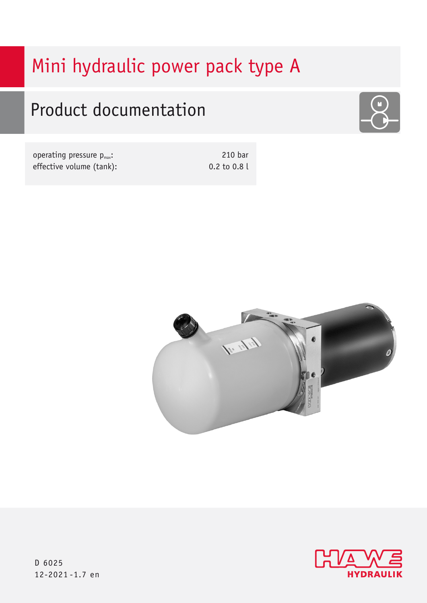# Mini hydraulic power pack type A

# Product documentation



| operating pressure $p_{\text{max}}$ : | 210 bar          |
|---------------------------------------|------------------|
| effective volume (tank):              | $0.2$ to $0.8$ l |





D 6025 12-2021 -1.7 en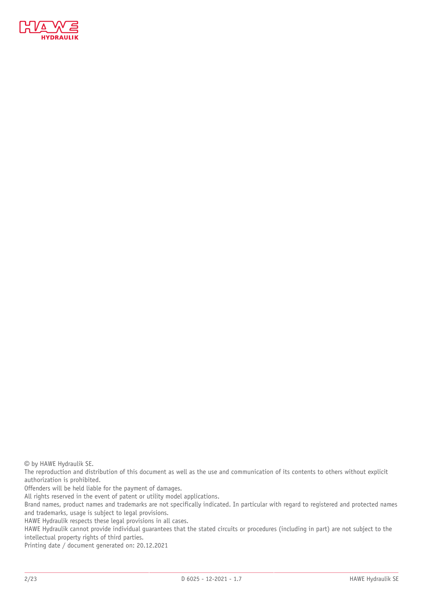

© by HAWE Hydraulik SE.

The reproduction and distribution of this document as well as the use and communication of its contents to others without explicit authorization is prohibited.

Offenders will be held liable for the payment of damages.

All rights reserved in the event of patent or utility model applications.

Brand names, product names and trademarks are not specifically indicated. In particular with regard to registered and protected names and trademarks, usage is subject to legal provisions.

HAWE Hydraulik respects these legal provisions in all cases.

HAWE Hydraulik cannot provide individual guarantees that the stated circuits or procedures (including in part) are not subject to the intellectual property rights of third parties.

Printing date / document generated on: 20.12.2021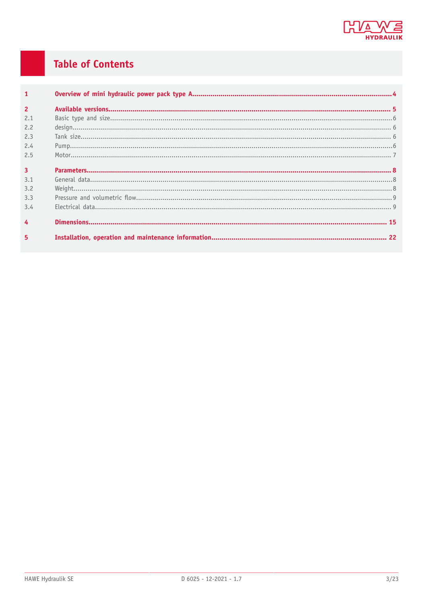

## **Table of Contents**

| $\mathbf{1}$   |  |
|----------------|--|
| $\overline{2}$ |  |
| 2.1            |  |
| 2.2            |  |
| 2.3            |  |
| 2.4            |  |
| 2.5            |  |
| $\overline{3}$ |  |
| 3.1            |  |
| 3.2            |  |
| 3.3            |  |
| 3.4            |  |
| $\overline{4}$ |  |
| 5              |  |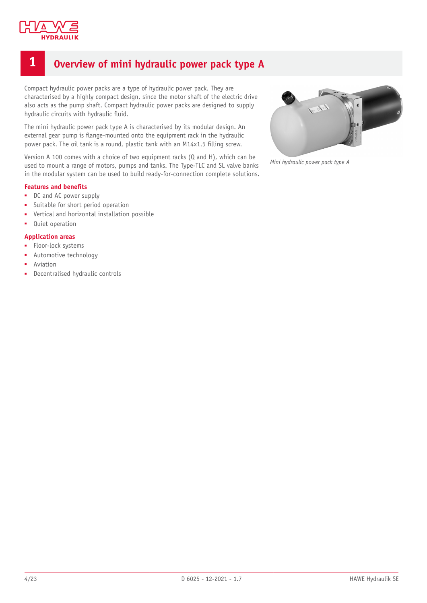

## <span id="page-3-0"></span>**1 Overview of mini hydraulic power pack type A**

Compact hydraulic power packs are a type of hydraulic power pack. They are characterised by a highly compact design, since the motor shaft of the electric drive also acts as the pump shaft. Compact hydraulic power packs are designed to supply hydraulic circuits with hydraulic fluid.

The mini hydraulic power pack type A is characterised by its modular design. An external gear pump is flange-mounted onto the equipment rack in the hydraulic power pack. The oil tank is a round, plastic tank with an M14x1.5 filling screw.

Version A 100 comes with a choice of two equipment racks (Q and H), which can be used to mount a range of motors, pumps and tanks. The Type-TLC and SL valve banks in the modular system can be used to build ready-for-connection complete solutions.

#### **Features and benets**

- DC and AC power supply
- Suitable for short period operation
- Vertical and horizontal installation possible
- Quiet operation

#### **Application areas**

- Floor-lock systems
- Automotive technology
- **Aviation**
- Decentralised hydraulic controls



*Mini hydraulic power pack type A*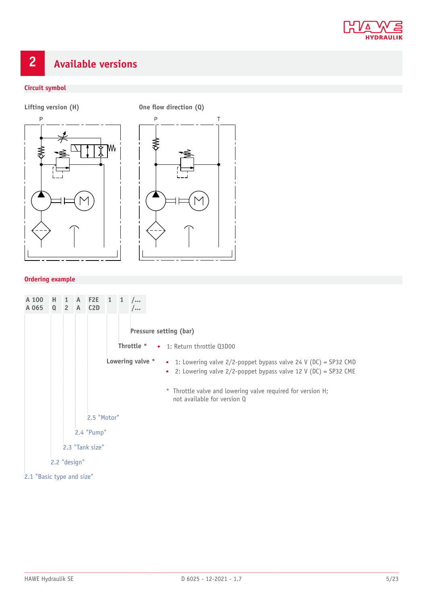

## <span id="page-4-0"></span>**2 Available versions**

#### **Circuit symbol**





#### **Ordering example**

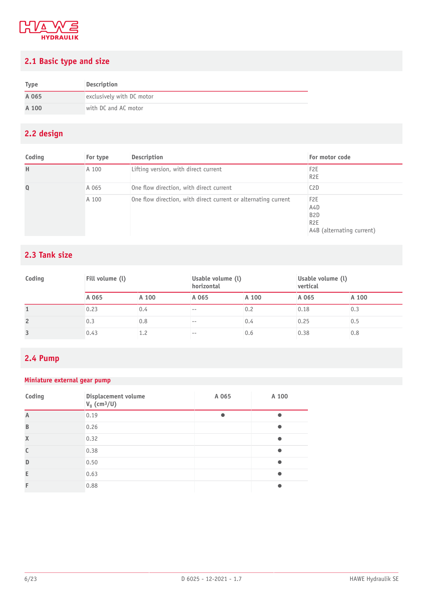

## <span id="page-5-0"></span>**2.1 Basic type and size**

| <b>Type</b> | <b>Description</b>        |
|-------------|---------------------------|
| A 065       | exclusively with DC motor |
| A 100       | with DC and AC motor      |

## <span id="page-5-1"></span>**2.2 design**

| Coding   | For type | Description                                                    | For motor code                                                                               |
|----------|----------|----------------------------------------------------------------|----------------------------------------------------------------------------------------------|
| H        | A 100    | Lifting version, with direct current                           | F <sub>2</sub> E<br>R <sub>2</sub> E                                                         |
| $\Omega$ | A 065    | One flow direction, with direct current                        | C <sub>2</sub> D                                                                             |
|          | A 100    | One flow direction, with direct current or alternating current | F <sub>2</sub> E<br>A4D<br>B <sub>2</sub> D<br>R <sub>2</sub> E<br>A4B (alternating current) |

### <span id="page-5-2"></span>**2.3 Tank size**

| Coding         | Fill volume (l) |       | Usable volume (l)<br>horizontal |       | Usable volume (l)<br>vertical |       |
|----------------|-----------------|-------|---------------------------------|-------|-------------------------------|-------|
|                | A 065           | A 100 | A 065                           | A 100 | A 065                         | A 100 |
|                | 0.23            | 0.4   | --                              | 0.2   | 0.18                          | 0.3   |
| $\overline{2}$ | 0.3             | 0.8   | $- -$                           | 0.4   | 0.25                          | 0.5   |
| 3              | 0.43            |       | --                              | 0.6   | 0.38                          | 0.8   |

## <span id="page-5-3"></span>**2.4 Pump**

#### **Miniature external gear pump**

| Coding                    | Displacement volume<br>$Vg$ (cm <sup>3</sup> /U) | A 065 | A 100 |
|---------------------------|--------------------------------------------------|-------|-------|
| $\mathsf{A}$              | 0.19                                             |       |       |
| B                         | 0.26                                             |       |       |
| $\boldsymbol{\mathsf{X}}$ | 0.32                                             |       |       |
| C                         | 0.38                                             |       |       |
| D                         | 0.50                                             |       |       |
| E                         | 0.63                                             |       |       |
| F                         | 0.88                                             |       |       |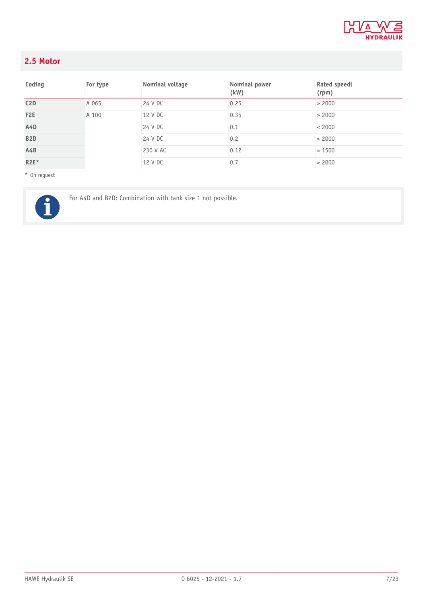

## <span id="page-6-0"></span>**2.5 Motor**

| Coding           | For type | Nominal voltage | Nominal power<br>(kW) | Rated speedl<br>(rpm) |
|------------------|----------|-----------------|-----------------------|-----------------------|
| C2D              | A 065    | 24 V DC         | 0.25                  | > 2000                |
| F <sub>2</sub> E | A 100    | 12 V DC         | 0.35                  | > 2000                |
| A4D              |          | 24 V DC         | 0.1                   | < 2000                |
| B <sub>2</sub> D |          | 24 V DC         | 0.2                   | > 2000                |
| A4B              |          | 230 V AC        | 0.12                  | $= 1500$              |
| $R2E*$           |          | 12 V DC         | 0.7                   | > 2000                |

\* On request



For A4D and B2D: Combination with tank size 1 not possible.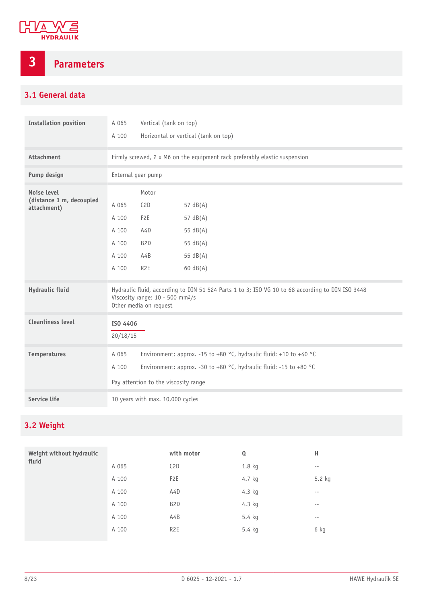

## <span id="page-7-0"></span>**3 Parameters**

## <span id="page-7-1"></span>**3.1 General data**

| <b>Installation position</b>                           | A 065<br>A 100                                     | Vertical (tank on top)<br>Horizontal or vertical (tank on top)                                                                                                                   |                                                                                                  |  |
|--------------------------------------------------------|----------------------------------------------------|----------------------------------------------------------------------------------------------------------------------------------------------------------------------------------|--------------------------------------------------------------------------------------------------|--|
| <b>Attachment</b>                                      |                                                    |                                                                                                                                                                                  | Firmly screwed, 2 x M6 on the equipment rack preferably elastic suspension                       |  |
| Pump design                                            |                                                    | External gear pump                                                                                                                                                               |                                                                                                  |  |
| Noise level<br>(distance 1 m, decoupled<br>attachment) | A 065<br>A 100<br>A 100<br>A 100<br>A 100<br>A 100 | Motor<br>C2D<br>F <sub>2</sub> E<br>A4D<br>B <sub>2</sub> D<br>A4B<br>R <sub>2</sub> E                                                                                           | 57 $dB(A)$<br>57 $dB(A)$<br>55 $dB(A)$<br>55 $dB(A)$<br>55 dB(A)<br>$60 \text{ dB}(A)$           |  |
| <b>Hydraulic fluid</b>                                 |                                                    | Viscosity range: 10 - 500 mm <sup>2</sup> /s<br>Other media on request                                                                                                           | Hydraulic fluid, according to DIN 51 524 Parts 1 to 3; ISO VG 10 to 68 according to DIN ISO 3448 |  |
| <b>Cleanliness level</b>                               | ISO 4406<br>20/18/15                               |                                                                                                                                                                                  |                                                                                                  |  |
| <b>Temperatures</b>                                    | A 065<br>A 100                                     | Environment: approx. -15 to +80 °C, hydraulic fluid: +10 to +40 °C<br>Environment: approx. -30 to +80 °C, hydraulic fluid: -15 to +80 °C<br>Pay attention to the viscosity range |                                                                                                  |  |
| Service life                                           | 10 years with max. 10,000 cycles                   |                                                                                                                                                                                  |                                                                                                  |  |

## <span id="page-7-2"></span>**3.2 Weight**

| Weight without hydraulic<br>fluid |       | with motor       | Q      | Н                 |
|-----------------------------------|-------|------------------|--------|-------------------|
|                                   | A 065 | C2D              | 1.8 kg | $\qquad \qquad -$ |
|                                   | A 100 | F <sub>2</sub> E | 4.7 kg | 5.2 kg            |
|                                   | A 100 | A <sub>4</sub> D | 4.3 kg | $- -$             |
|                                   | A 100 | B <sub>2</sub> D | 4.3 kg | $\qquad \qquad -$ |
|                                   | A 100 | A4B              | 5.4 kg | $\qquad \qquad -$ |
|                                   | A 100 | R <sub>2</sub> E | 5.4 kg | 6 kg              |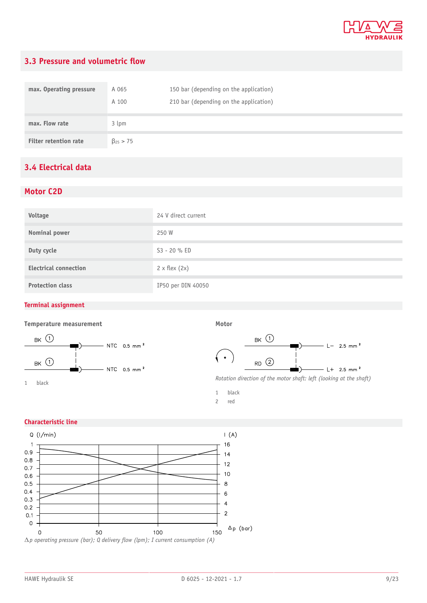

## <span id="page-8-0"></span>**3.3 Pressure and volumetric flow**

| max. Operating pressure      | A 065<br>A 100    | 150 bar (depending on the application)<br>210 bar (depending on the application) |
|------------------------------|-------------------|----------------------------------------------------------------------------------|
| max. Flow rate               | 3 lpm             |                                                                                  |
| <b>Filter retention rate</b> | $\beta_{25} > 75$ |                                                                                  |

## <span id="page-8-1"></span>**3.4 Electrical data**

#### **Motor C2D**

| Voltage                      | 24 V direct current    |
|------------------------------|------------------------|
| Nominal power                | 250 W                  |
| Duty cycle                   | S3 - 20 % ED           |
| <b>Electrical connection</b> | $2 \times$ flex $(2x)$ |
| <b>Protection class</b>      | IP50 per DIN 40050     |

#### **Terminal assignment**

#### **Temperature measurement**



**Motor**



1 black

2 red

#### **Characteristic line**

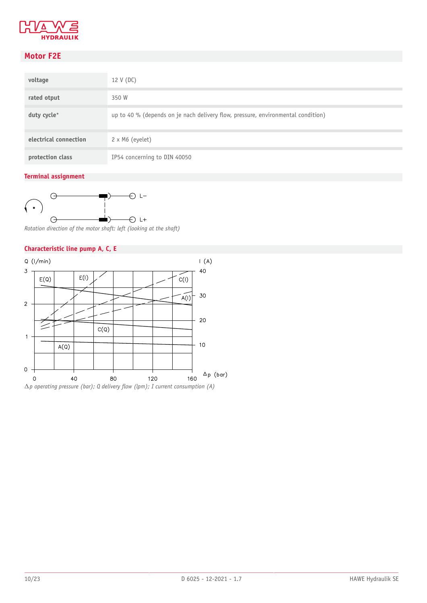

## **Motor F2E**

| voltage               | 12 V (DC)                                                                        |
|-----------------------|----------------------------------------------------------------------------------|
| rated otput           | 350 W                                                                            |
| duty cycle*           | up to 40 % (depends on je nach delivery flow, pressure, environmental condition) |
| electrical connection | $2 \times M6$ (eyelet)                                                           |
| protection class      | IP54 concerning to DIN 40050                                                     |

#### **Terminal assignment**



*Rotation direction of the motor shaft: left (looking at the shaft)*

#### **Characteristic line pump A, C, E**

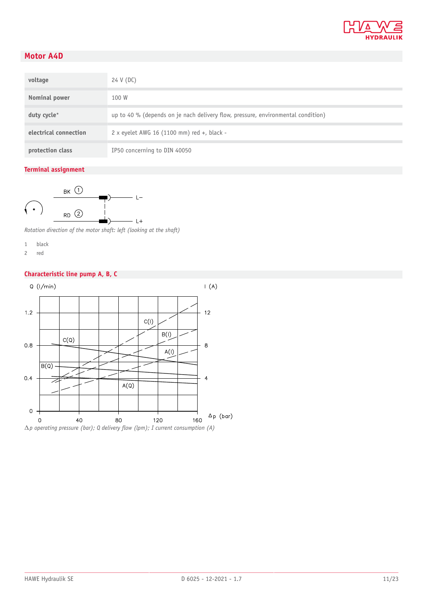

### **Motor A4D**

| voltage               | 24 V (DC)                                                                        |
|-----------------------|----------------------------------------------------------------------------------|
| Nominal power         | 100 W                                                                            |
| duty cycle*           | up to 40 % (depends on je nach delivery flow, pressure, environmental condition) |
| electrical connection | 2 x eyelet AWG 16 (1100 mm) red +, black -                                       |
| protection class      | IP50 concerning to DIN 40050                                                     |

#### **Terminal assignment**



*Rotation direction of the motor shaft: left (looking at the shaft)*

- 1 black
- 2 red

#### **Characteristic line pump A, B, C**

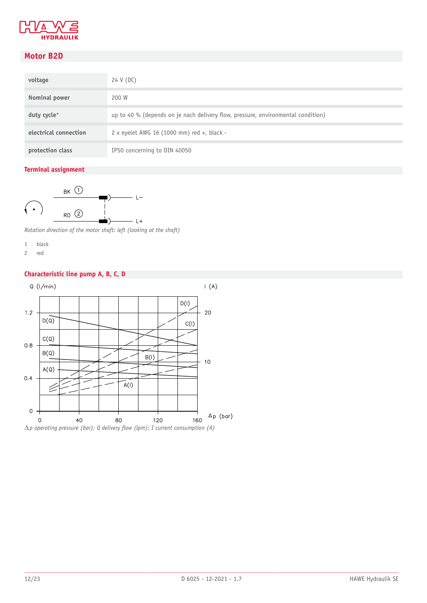

### **Motor B2D**

| voltage               | 24 V (DC)                                                                        |
|-----------------------|----------------------------------------------------------------------------------|
| Nominal power         | 200 W                                                                            |
| duty cycle*           | up to 40 % (depends on je nach delivery flow, pressure, environmental condition) |
| electrical connection | 2 x eyelet AWG 16 (1000 mm) red +, black -                                       |
| protection class      | IP50 concerning to DIN 40050                                                     |

#### **Terminal assignment**



*Rotation direction of the motor shaft: left (looking at the shaft)*

- 1 black
- 2 red

#### **Characteristic line pump A, B, C, D**

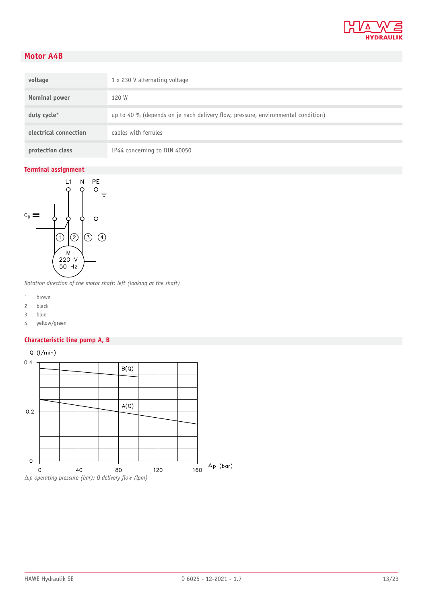

### **Motor A4B**

| voltage               | $1 \times 230$ V alternating voltage                                             |
|-----------------------|----------------------------------------------------------------------------------|
| Nominal power         | 120 W                                                                            |
| duty cycle*           | up to 40 % (depends on je nach delivery flow, pressure, environmental condition) |
| electrical connection | cables with ferrules                                                             |
| protection class      | IP44 concerning to DIN 40050                                                     |

#### **Terminal assignment**



*Rotation direction of the motor shaft: left (looking at the shaft)*

- 1 brown
- 2 black
- 3 blue
- 4 yellow/green

#### **Characteristic line pump A, B**

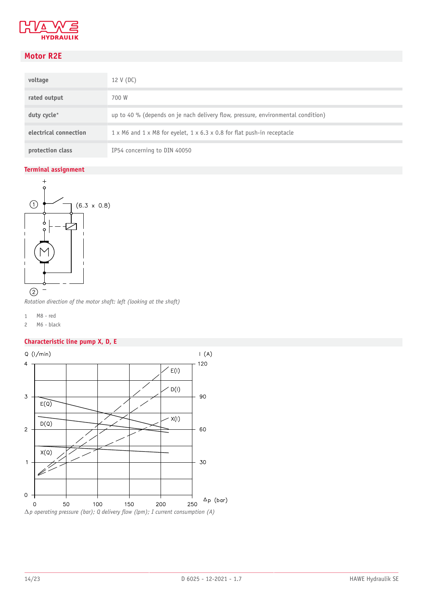

## **Motor R2E**

| voltage               | 12 V (DC)                                                                                         |
|-----------------------|---------------------------------------------------------------------------------------------------|
| rated output          | 700 W                                                                                             |
| duty cycle*           | up to 40 % (depends on je nach delivery flow, pressure, environmental condition)                  |
| electrical connection | $1 \times M6$ and $1 \times M8$ for eyelet, $1 \times 6.3 \times 0.8$ for flat push-in receptacle |
| protection class      | IP54 concerning to DIN 40050                                                                      |

#### **Terminal assignment**



*Rotation direction of the motor shaft: left (looking at the shaft)*

- 1 M8 red
- 2 M6 black

#### **Characteristic line pump X, D, E**

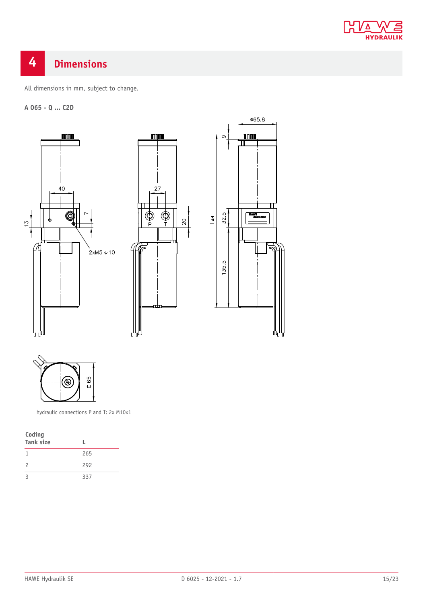

## <span id="page-14-0"></span>**4 Dimensions**

All dimensions in mm, subject to change.

#### **A 065 - Q ... C2D**





ø65.8

╖

**TITULUA**  $\overline{\mathbb{m}}$ 

**HAWE** 

32.5

135.5



hydraulic connections P and T: 2x M10x1

| Coding<br><b>Tank size</b> |     |
|----------------------------|-----|
|                            | 265 |
| $\mathcal{P}$              | 292 |
| 2                          | 337 |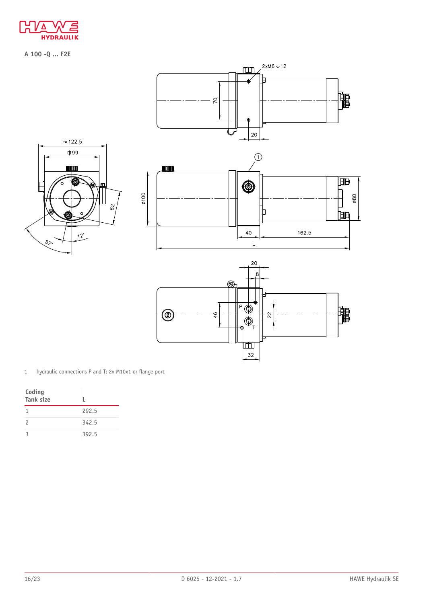

**A 100 -Q ... F2E**





| Coding<br><b>Tank size</b> | L.    |
|----------------------------|-------|
|                            | 292.5 |
| $\mathcal{P}$              | 342.5 |
| ς                          | 392.5 |

 $\overline{\mathbb{E}}$ 32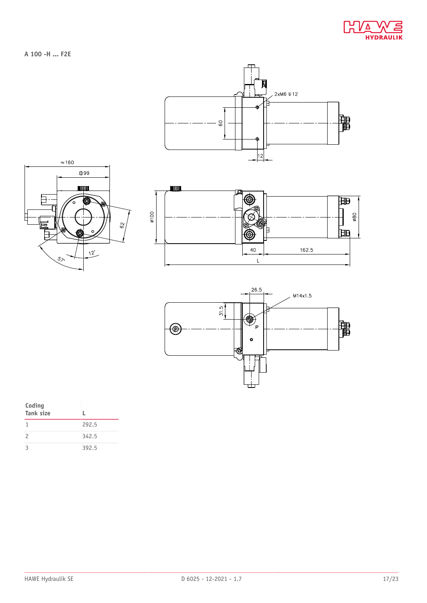

**A 100 -H ... F2E**









| Coding<br><b>Tank size</b> |       |
|----------------------------|-------|
|                            | 292.5 |
| $\mathcal{P}$              | 342.5 |
| 3                          | 392.5 |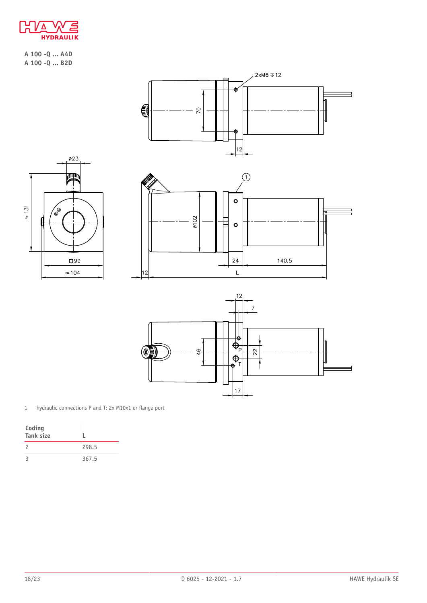

**A 100 -Q ... A4D A 100 -Q ... B2D**



1 hydraulic connections P and T: 2x M10x1 or flange port

| Coding<br>Tank size |       |
|---------------------|-------|
| $\mathcal{P}$       | 298.5 |
|                     | 367.5 |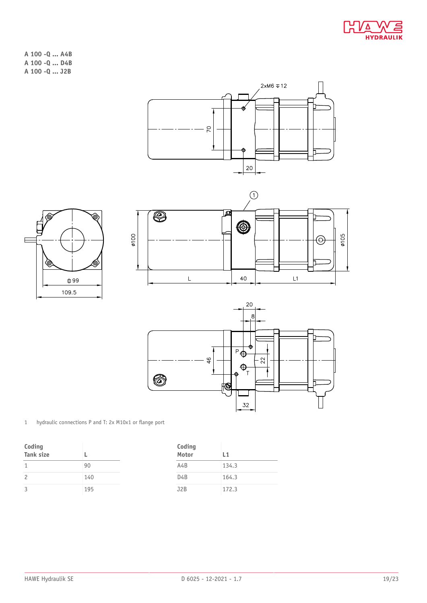

- **A 100 -Q ... A4B A 100 -Q ... D4B**
- **A 100 -Q ... J2B**









1 hydraulic connections P and T: 2x M10x1 or flange port

| Coding<br>Tank size |     | Coding<br>Motor  | L1    |
|---------------------|-----|------------------|-------|
|                     | 90  | A4B              | 134.3 |
| 2                   | 140 | D <sub>4</sub> B | 164.3 |
| ς                   | 195 | J2B              | 172.3 |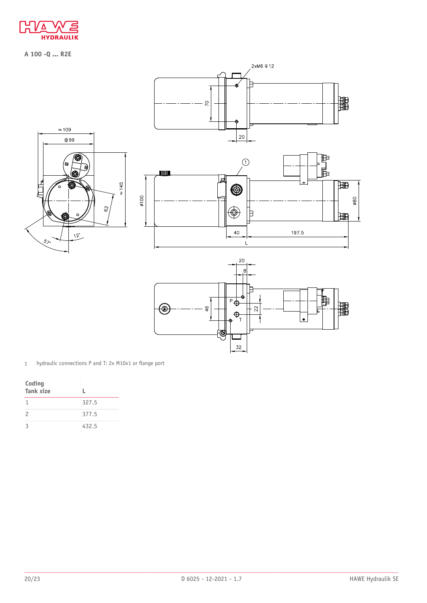

**A 100 -Q ... R2E**



1 hydraulic connections P and T: 2x M10x1 or flange port

| Coding<br><b>Tank size</b> |       |
|----------------------------|-------|
| 1                          | 327.5 |
| $\mathcal{P}$              | 377.5 |
| $\mathcal{R}$              | 432.5 |

32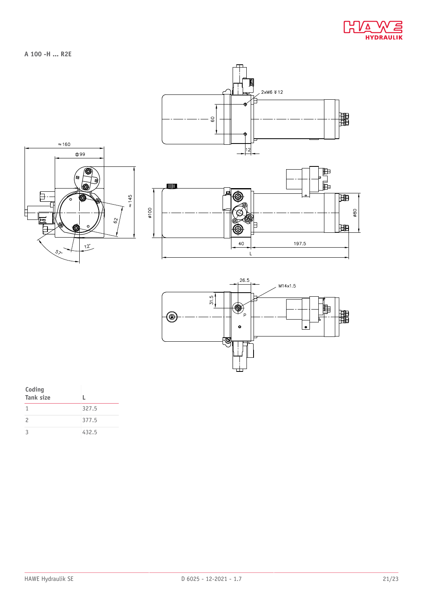

**A 100 -H ... R2E**





| Coding<br><b>Tank size</b> |       |
|----------------------------|-------|
|                            | 327.5 |
| $\mathcal{P}$              | 377.5 |
| $\mathcal{R}$              | 432.5 |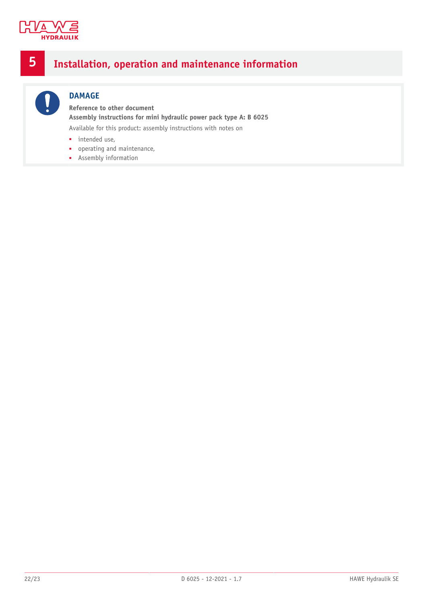

## <span id="page-21-0"></span>**5 Installation, operation and maintenance information**



## **DAMAGE**

**Reference to other document Assembly instructions for mini hydraulic power pack type A: B 6025** Available for this product: assembly instructions with notes on

- intended use,
- operating and maintenance,
- Assembly information